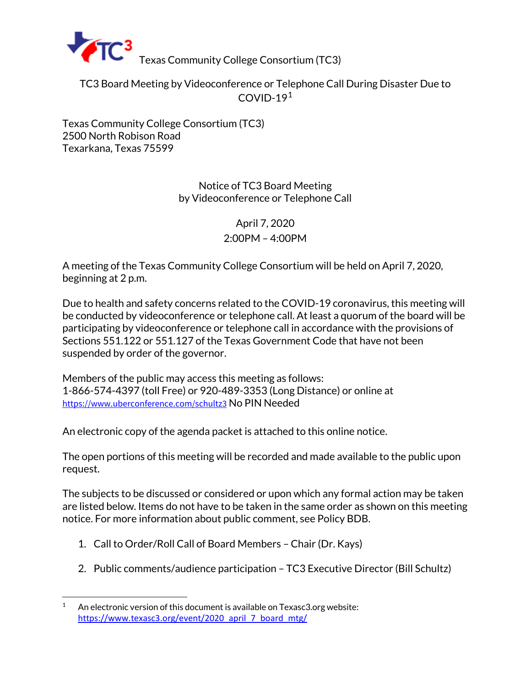

TC3 Board Meeting by Videoconference or Telephone Call During Disaster Due to  $COVID-19<sup>1</sup>$  $COVID-19<sup>1</sup>$  $COVID-19<sup>1</sup>$ 

Texas Community College Consortium (TC3) [2500 North Robison Road](https://goo.gl/maps/nHtkK) [Texarkana, Texas 75599](https://goo.gl/maps/nHtkK)

> Notice of TC3 Board Meeting by Videoconference or Telephone Call

> > April 7, 2020 2:00PM – 4:00PM

A meeting of the Texas Community College Consortium will be held on April 7, 2020, beginning at 2 p.m.

Due to health and safety concerns related to the COVID-19 coronavirus, this meeting will be conducted by videoconference or telephone call. At least a quorum of the board will be participating by videoconference or telephone call in accordance with the provisions of Sections 551.122 or 551.127 of the Texas Government Code that have not been suspended by order of the governor.

Members of the public may access this meeting as follows: 1-866-574-4397 (toll Free) or 920-489-3353 (Long Distance) or online at <https://www.uberconference.com/schultz3> No PIN Needed

An electronic copy of the agenda packet is attached to this online notice.

The open portions of this meeting will be recorded and made available to the public upon request.

The subjects to be discussed or considered or upon which any formal action may be taken are listed below. Items do not have to be taken in the same order as shown on this meeting notice. For more information about public comment, see Policy BDB.

- 1. Call to Order/Roll Call of Board Members Chair (Dr. Kays)
- 2. Public comments/audience participation TC3 Executive Director (Bill Schultz)

<span id="page-0-0"></span><sup>&</sup>lt;sup>1</sup> An electronic version of this document is available on Texasc3.org website: [https://www.texasc3.org/event/2020\\_april\\_7\\_board\\_mtg/](https://www.texasc3.org/event/2020_april_7_board_mtg/)